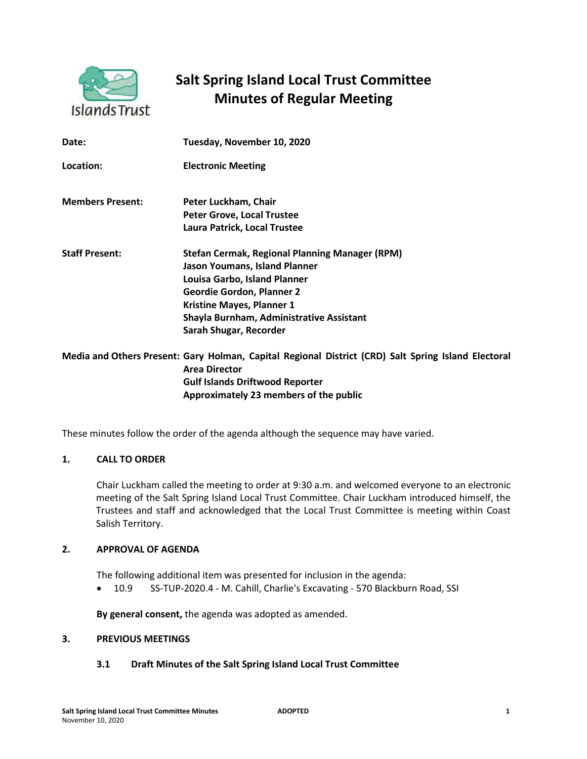

# **Salt Spring Island Local Trust Committee Minutes of Regular Meeting**

| Date:                   | Tuesday, November 10, 2020                                                             |
|-------------------------|----------------------------------------------------------------------------------------|
| Location:               | <b>Electronic Meeting</b>                                                              |
| <b>Members Present:</b> | Peter Luckham, Chair                                                                   |
|                         | <b>Peter Grove, Local Trustee</b>                                                      |
|                         | Laura Patrick, Local Trustee                                                           |
| <b>Staff Present:</b>   | <b>Stefan Cermak, Regional Planning Manager (RPM)</b><br>Jason Youmans, Island Planner |
|                         | Louisa Garbo, Island Planner                                                           |
|                         | <b>Geordie Gordon, Planner 2</b>                                                       |
|                         | <b>Kristine Mayes, Planner 1</b>                                                       |
|                         | Shayla Burnham, Administrative Assistant                                               |
|                         | Sarah Shugar, Recorder                                                                 |
|                         | Media and Others Present: Gary Holman, Canital Regional District (CRD) Salt S          |

al Regional District (CRD) Salt Spring Island Electoral **Area Director Gulf Islands Driftwood Reporter Approximately 23 members of the public** 

These minutes follow the order of the agenda although the sequence may have varied.

## **1. CALL TO ORDER**

Chair Luckham called the meeting to order at 9:30 a.m. and welcomed everyone to an electronic meeting of the Salt Spring Island Local Trust Committee. Chair Luckham introduced himself, the Trustees and staff and acknowledged that the Local Trust Committee is meeting within Coast Salish Territory.

#### **2. APPROVAL OF AGENDA**

The following additional item was presented for inclusion in the agenda:

• 10.9 SS-TUP-2020.4 - M. Cahill, Charlie's Excavating - 570 Blackburn Road, SSI

**By general consent,** the agenda was adopted as amended.

## **3. PREVIOUS MEETINGS**

## **3.1 Draft Minutes of the Salt Spring Island Local Trust Committee**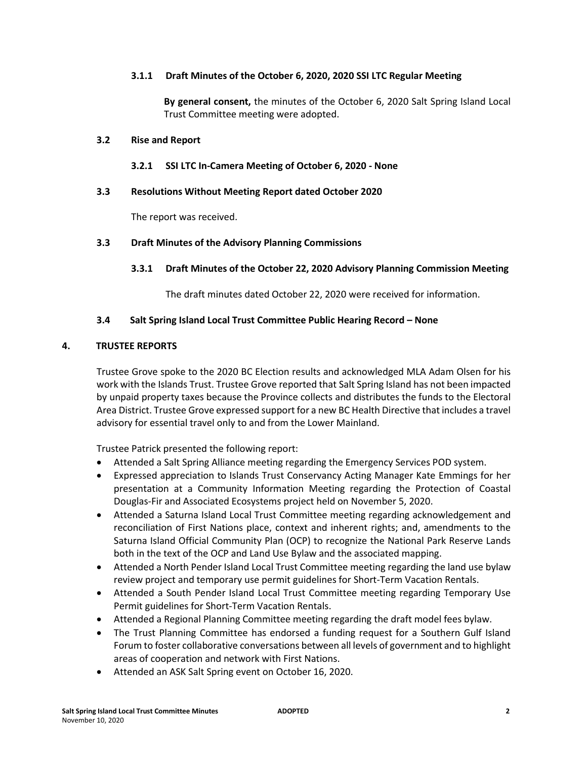## **3.1.1 Draft Minutes of the October 6, 2020, 2020 SSI LTC Regular Meeting**

**By general consent,** the minutes of the October 6, 2020 Salt Spring Island Local Trust Committee meeting were adopted.

#### **3.2 Rise and Report**

## **3.2.1 SSI LTC In-Camera Meeting of October 6, 2020 - None**

## **3.3 Resolutions Without Meeting Report dated October 2020**

The report was received.

## **3.3 Draft Minutes of the Advisory Planning Commissions**

## **3.3.1 Draft Minutes of the October 22, 2020 Advisory Planning Commission Meeting**

The draft minutes dated October 22, 2020 were received for information.

## **3.4 Salt Spring Island Local Trust Committee Public Hearing Record – None**

## **4. TRUSTEE REPORTS**

Trustee Grove spoke to the 2020 BC Election results and acknowledged MLA Adam Olsen for his work with the Islands Trust. Trustee Grove reported that Salt Spring Island has not been impacted by unpaid property taxes because the Province collects and distributes the funds to the Electoral Area District. Trustee Grove expressed support for a new BC Health Directive that includes a travel advisory for essential travel only to and from the Lower Mainland.

Trustee Patrick presented the following report:

- Attended a Salt Spring Alliance meeting regarding the Emergency Services POD system.
- Expressed appreciation to Islands Trust Conservancy Acting Manager Kate Emmings for her presentation at a Community Information Meeting regarding the Protection of Coastal Douglas-Fir and Associated Ecosystems project held on November 5, 2020.
- Attended a Saturna Island Local Trust Committee meeting regarding acknowledgement and reconciliation of First Nations place, context and inherent rights; and, amendments to the Saturna Island Official Community Plan (OCP) to recognize the National Park Reserve Lands both in the text of the OCP and Land Use Bylaw and the associated mapping.
- Attended a North Pender Island Local Trust Committee meeting regarding the land use bylaw review project and temporary use permit guidelines for Short-Term Vacation Rentals.
- Attended a South Pender Island Local Trust Committee meeting regarding Temporary Use Permit guidelines for Short-Term Vacation Rentals.
- Attended a Regional Planning Committee meeting regarding the draft model fees bylaw.
- The Trust Planning Committee has endorsed a funding request for a Southern Gulf Island Forum to foster collaborative conversations between all levels of government and to highlight areas of cooperation and network with First Nations.
- Attended an ASK Salt Spring event on October 16, 2020.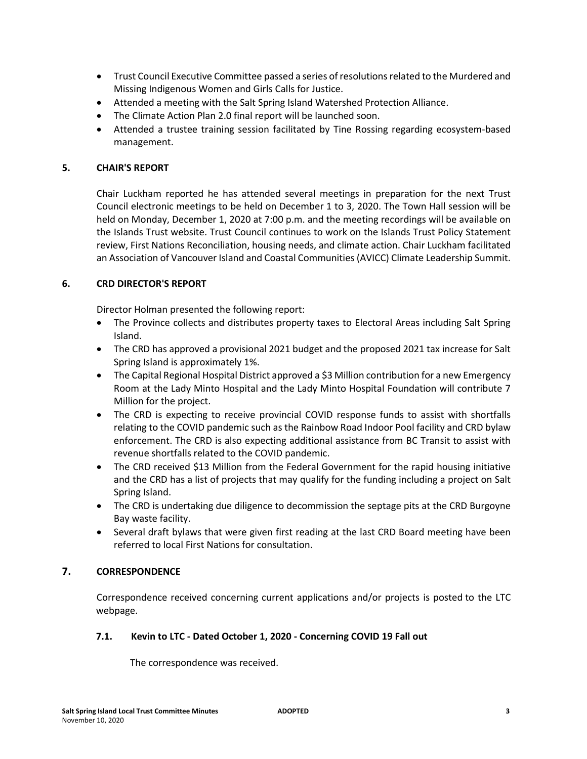- Trust Council Executive Committee passed a series of resolutions related to the Murdered and Missing Indigenous Women and Girls Calls for Justice.
- Attended a meeting with the Salt Spring Island Watershed Protection Alliance.
- The Climate Action Plan 2.0 final report will be launched soon.
- Attended a trustee training session facilitated by Tine Rossing regarding ecosystem-based management.

# **5. CHAIR'S REPORT**

Chair Luckham reported he has attended several meetings in preparation for the next Trust Council electronic meetings to be held on December 1 to 3, 2020. The Town Hall session will be held on Monday, December 1, 2020 at 7:00 p.m. and the meeting recordings will be available on the Islands Trust website. Trust Council continues to work on the Islands Trust Policy Statement review, First Nations Reconciliation, housing needs, and climate action. Chair Luckham facilitated an Association of Vancouver Island and Coastal Communities (AVICC) Climate Leadership Summit.

# **6. CRD DIRECTOR'S REPORT**

Director Holman presented the following report:

- The Province collects and distributes property taxes to Electoral Areas including Salt Spring Island.
- The CRD has approved a provisional 2021 budget and the proposed 2021 tax increase for Salt Spring Island is approximately 1%.
- The Capital Regional Hospital District approved a \$3 Million contribution for a new Emergency Room at the Lady Minto Hospital and the Lady Minto Hospital Foundation will contribute 7 Million for the project.
- The CRD is expecting to receive provincial COVID response funds to assist with shortfalls relating to the COVID pandemic such as the Rainbow Road Indoor Pool facility and CRD bylaw enforcement. The CRD is also expecting additional assistance from BC Transit to assist with revenue shortfalls related to the COVID pandemic.
- The CRD received \$13 Million from the Federal Government for the rapid housing initiative and the CRD has a list of projects that may qualify for the funding including a project on Salt Spring Island.
- The CRD is undertaking due diligence to decommission the septage pits at the CRD Burgoyne Bay waste facility.
- Several draft bylaws that were given first reading at the last CRD Board meeting have been referred to local First Nations for consultation.

# **7. CORRESPONDENCE**

Correspondence received concerning current applications and/or projects is posted to the LTC webpage.

## **7.1. Kevin to LTC - Dated October 1, 2020 - Concerning COVID 19 Fall out**

The correspondence was received.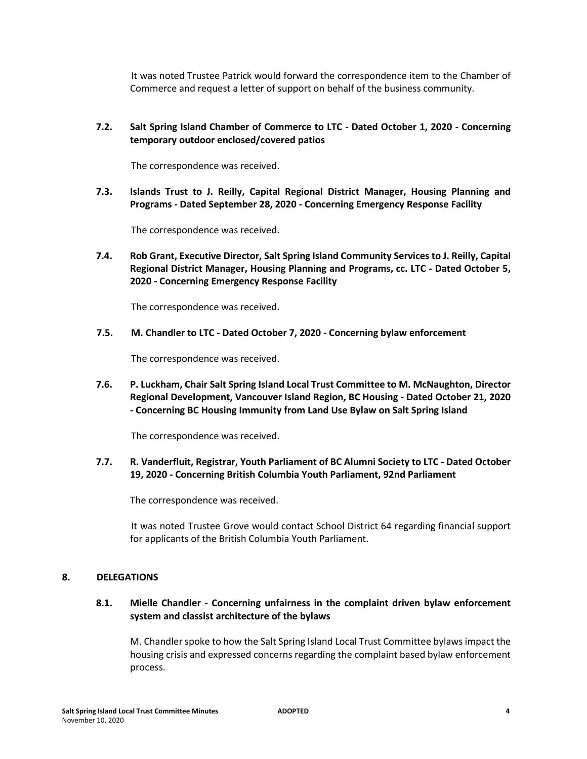It was noted Trustee Patrick would forward the correspondence item to the Chamber of Commerce and request a letter of support on behalf of the business community.

# **7.2. Salt Spring Island Chamber of Commerce to LTC - Dated October 1, 2020 - Concerning temporary outdoor enclosed/covered patios**

The correspondence was received.

**7.3. Islands Trust to J. Reilly, Capital Regional District Manager, Housing Planning and Programs - Dated September 28, 2020 - Concerning Emergency Response Facility** 

The correspondence was received.

**7.4. Rob Grant, Executive Director, Salt Spring Island Community Services to J. Reilly, Capital Regional District Manager, Housing Planning and Programs, cc. LTC - Dated October 5, 2020 - Concerning Emergency Response Facility** 

The correspondence was received.

**7.5. M. Chandler to LTC - Dated October 7, 2020 - Concerning bylaw enforcement** 

The correspondence was received.

**7.6. P. Luckham, Chair Salt Spring Island Local Trust Committee to M. McNaughton, Director Regional Development, Vancouver Island Region, BC Housing - Dated October 21, 2020 - Concerning BC Housing Immunity from Land Use Bylaw on Salt Spring Island** 

The correspondence was received.

## **7.7. R. Vanderfluit, Registrar, Youth Parliament of BC Alumni Society to LTC - Dated October 19, 2020 - Concerning British Columbia Youth Parliament, 92nd Parliament**

The correspondence was received.

It was noted Trustee Grove would contact School District 64 regarding financial support for applicants of the British Columbia Youth Parliament.

## **8. DELEGATIONS**

# **8.1. Mielle Chandler - Concerning unfairness in the complaint driven bylaw enforcement system and classist architecture of the bylaws**

M. Chandler spoke to how the Salt Spring Island Local Trust Committee bylaws impact the housing crisis and expressed concerns regarding the complaint based bylaw enforcement process.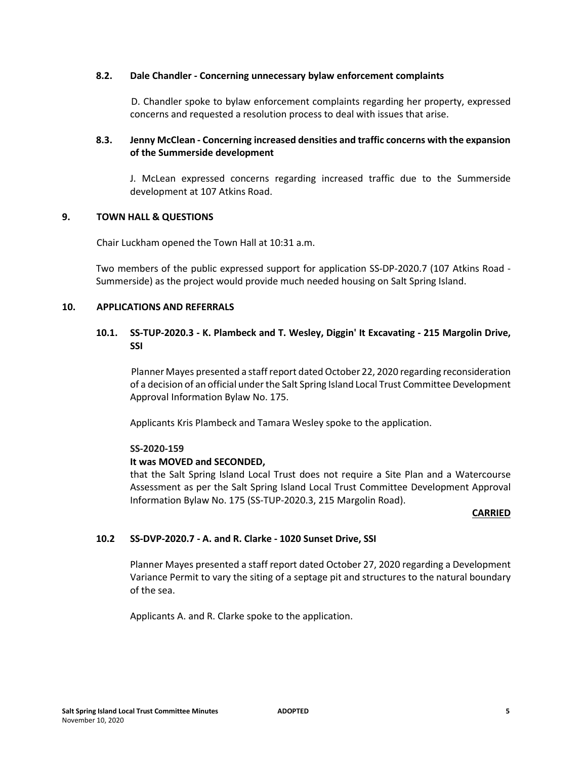#### **8.2. Dale Chandler - Concerning unnecessary bylaw enforcement complaints**

D. Chandler spoke to bylaw enforcement complaints regarding her property, expressed concerns and requested a resolution process to deal with issues that arise.

# **8.3. Jenny McClean - Concerning increased densities and traffic concerns with the expansion of the Summerside development**

J. McLean expressed concerns regarding increased traffic due to the Summerside development at 107 Atkins Road.

## **9. TOWN HALL & QUESTIONS**

Chair Luckham opened the Town Hall at 10:31 a.m.

Two members of the public expressed support for application SS-DP-2020.7 (107 Atkins Road - Summerside) as the project would provide much needed housing on Salt Spring Island.

## **10. APPLICATIONS AND REFERRALS**

# **10.1. SS-TUP-2020.3 - K. Plambeck and T. Wesley, Diggin' It Excavating - 215 Margolin Drive, SSI**

Planner Mayes presented a staff report dated October 22, 2020 regarding reconsideration of a decision of an official under the Salt Spring Island Local Trust Committee Development Approval Information Bylaw No. 175.

Applicants Kris Plambeck and Tamara Wesley spoke to the application.

#### **SS-2020-159**

## **It was MOVED and SECONDED,**

that the Salt Spring Island Local Trust does not require a Site Plan and a Watercourse Assessment as per the Salt Spring Island Local Trust Committee Development Approval Information Bylaw No. 175 (SS-TUP-2020.3, 215 Margolin Road).

#### **CARRIED**

## **10.2 SS-DVP-2020.7 - A. and R. Clarke - 1020 Sunset Drive, SSI**

Planner Mayes presented a staff report dated October 27, 2020 regarding a Development Variance Permit to vary the siting of a septage pit and structures to the natural boundary of the sea.

Applicants A. and R. Clarke spoke to the application.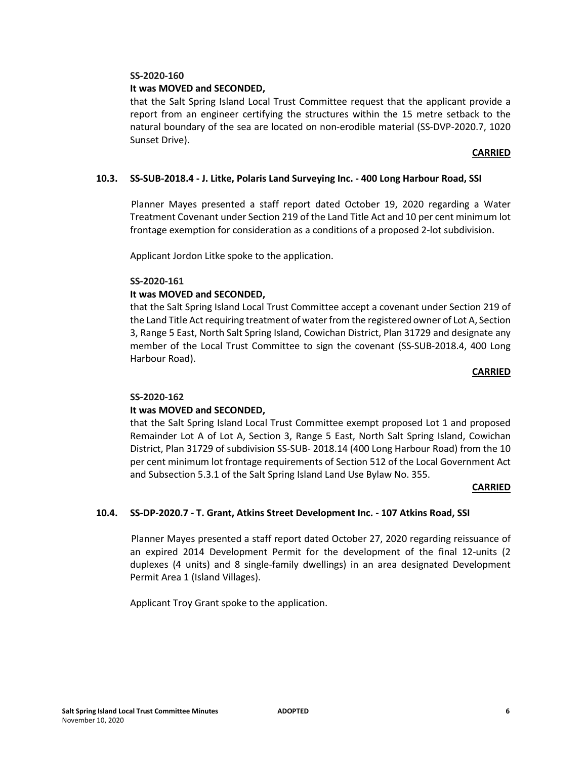## **It was MOVED and SECONDED,**

that the Salt Spring Island Local Trust Committee request that the applicant provide a report from an engineer certifying the structures within the 15 metre setback to the natural boundary of the sea are located on non-erodible material (SS-DVP-2020.7, 1020 Sunset Drive).

## **CARRIED**

## **10.3. SS-SUB-2018.4 - J. Litke, Polaris Land Surveying Inc. - 400 Long Harbour Road, SSI**

Planner Mayes presented a staff report dated October 19, 2020 regarding a Water Treatment Covenant under Section 219 of the Land Title Act and 10 per cent minimum lot frontage exemption for consideration as a conditions of a proposed 2-lot subdivision.

Applicant Jordon Litke spoke to the application.

## **SS-2020-161**

## **It was MOVED and SECONDED,**

that the Salt Spring Island Local Trust Committee accept a covenant under Section 219 of the Land Title Act requiring treatment of water from the registered owner of Lot A, Section 3, Range 5 East, North Salt Spring Island, Cowichan District, Plan 31729 and designate any member of the Local Trust Committee to sign the covenant (SS-SUB-2018.4, 400 Long Harbour Road).

#### **CARRIED**

## **SS-2020-162**

## **It was MOVED and SECONDED,**

that the Salt Spring Island Local Trust Committee exempt proposed Lot 1 and proposed Remainder Lot A of Lot A, Section 3, Range 5 East, North Salt Spring Island, Cowichan District, Plan 31729 of subdivision SS-SUB- 2018.14 (400 Long Harbour Road) from the 10 per cent minimum lot frontage requirements of Section 512 of the Local Government Act and Subsection 5.3.1 of the Salt Spring Island Land Use Bylaw No. 355.

#### **CARRIED**

## **10.4. SS-DP-2020.7 - T. Grant, Atkins Street Development Inc. - 107 Atkins Road, SSI**

Planner Mayes presented a staff report dated October 27, 2020 regarding reissuance of an expired 2014 Development Permit for the development of the final 12-units (2 duplexes (4 units) and 8 single-family dwellings) in an area designated Development Permit Area 1 (Island Villages).

Applicant Troy Grant spoke to the application.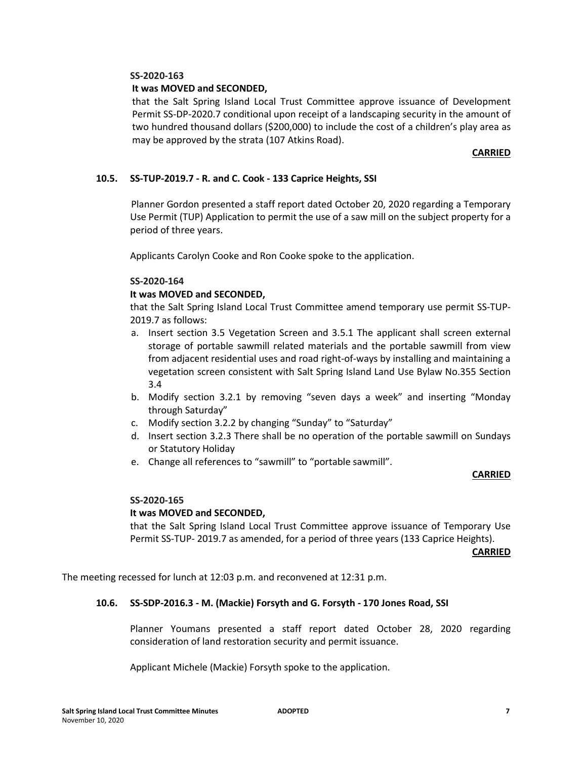## **It was MOVED and SECONDED,**

that the Salt Spring Island Local Trust Committee approve issuance of Development Permit SS-DP-2020.7 conditional upon receipt of a landscaping security in the amount of two hundred thousand dollars (\$200,000) to include the cost of a children's play area as may be approved by the strata (107 Atkins Road).

## **CARRIED**

## **10.5. SS-TUP-2019.7 - R. and C. Cook - 133 Caprice Heights, SSI**

Planner Gordon presented a staff report dated October 20, 2020 regarding a Temporary Use Permit (TUP) Application to permit the use of a saw mill on the subject property for a period of three years.

Applicants Carolyn Cooke and Ron Cooke spoke to the application.

## **SS-2020-164**

## **It was MOVED and SECONDED,**

that the Salt Spring Island Local Trust Committee amend temporary use permit SS-TUP-2019.7 as follows:

- a. Insert section 3.5 Vegetation Screen and 3.5.1 The applicant shall screen external storage of portable sawmill related materials and the portable sawmill from view from adjacent residential uses and road right-of-ways by installing and maintaining a vegetation screen consistent with Salt Spring Island Land Use Bylaw No.355 Section 3.4
- b. Modify section 3.2.1 by removing "seven days a week" and inserting "Monday through Saturday"
- c. Modify section 3.2.2 by changing "Sunday" to "Saturday"
- d. Insert section 3.2.3 There shall be no operation of the portable sawmill on Sundays or Statutory Holiday
- e. Change all references to "sawmill" to "portable sawmill".

## **CARRIED**

#### **SS-2020-165**

#### **It was MOVED and SECONDED,**

that the Salt Spring Island Local Trust Committee approve issuance of Temporary Use Permit SS-TUP- 2019.7 as amended, for a period of three years (133 Caprice Heights).

**CARRIED**

The meeting recessed for lunch at 12:03 p.m. and reconvened at 12:31 p.m.

#### **10.6. SS-SDP-2016.3 - M. (Mackie) Forsyth and G. Forsyth - 170 Jones Road, SSI**

Planner Youmans presented a staff report dated October 28, 2020 regarding consideration of land restoration security and permit issuance.

Applicant Michele (Mackie) Forsyth spoke to the application.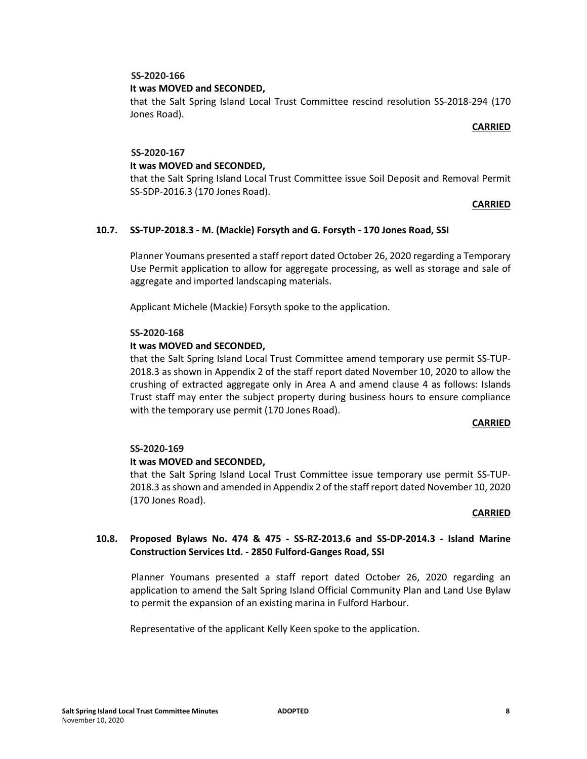## **It was MOVED and SECONDED,**

that the Salt Spring Island Local Trust Committee rescind resolution SS-2018-294 (170 Jones Road).

#### **CARRIED**

#### **SS-2020-167**

## **It was MOVED and SECONDED,**

that the Salt Spring Island Local Trust Committee issue Soil Deposit and Removal Permit SS-SDP-2016.3 (170 Jones Road).

## **CARRIED**

## **10.7. SS-TUP-2018.3 - M. (Mackie) Forsyth and G. Forsyth - 170 Jones Road, SSI**

Planner Youmans presented a staff report dated October 26, 2020 regarding a Temporary Use Permit application to allow for aggregate processing, as well as storage and sale of aggregate and imported landscaping materials.

Applicant Michele (Mackie) Forsyth spoke to the application.

## **SS-2020-168**

## **It was MOVED and SECONDED,**

that the Salt Spring Island Local Trust Committee amend temporary use permit SS-TUP-2018.3 as shown in Appendix 2 of the staff report dated November 10, 2020 to allow the crushing of extracted aggregate only in Area A and amend clause 4 as follows: Islands Trust staff may enter the subject property during business hours to ensure compliance with the temporary use permit (170 Jones Road).

#### **CARRIED**

#### **SS-2020-169**

## **It was MOVED and SECONDED,**

that the Salt Spring Island Local Trust Committee issue temporary use permit SS-TUP-2018.3 as shown and amended in Appendix 2 of the staff report dated November 10, 2020 (170 Jones Road).

#### **CARRIED**

# **10.8. Proposed Bylaws No. 474 & 475 - SS-RZ-2013.6 and SS-DP-2014.3 - Island Marine Construction Services Ltd. - 2850 Fulford-Ganges Road, SSI**

Planner Youmans presented a staff report dated October 26, 2020 regarding an application to amend the Salt Spring Island Official Community Plan and Land Use Bylaw to permit the expansion of an existing marina in Fulford Harbour.

Representative of the applicant Kelly Keen spoke to the application.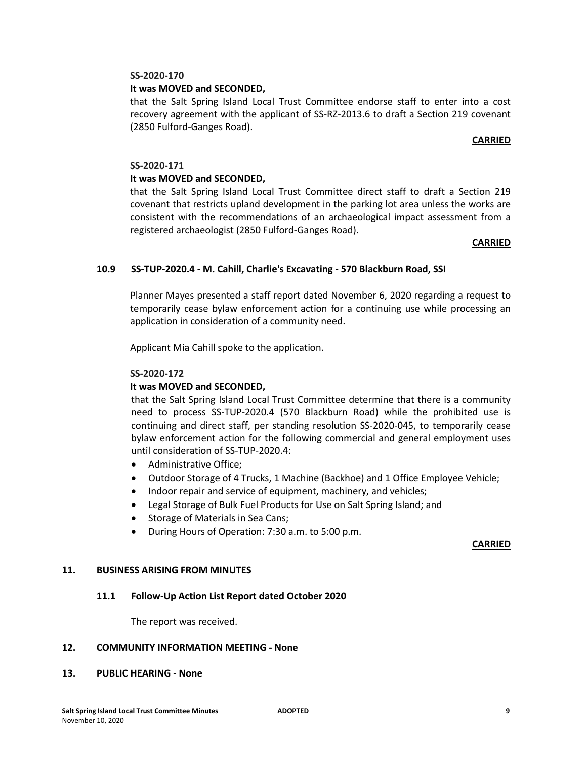## **It was MOVED and SECONDED,**

that the Salt Spring Island Local Trust Committee endorse staff to enter into a cost recovery agreement with the applicant of SS-RZ-2013.6 to draft a Section 219 covenant (2850 Fulford-Ganges Road).

#### **CARRIED**

#### **SS-2020-171**

## **It was MOVED and SECONDED,**

that the Salt Spring Island Local Trust Committee direct staff to draft a Section 219 covenant that restricts upland development in the parking lot area unless the works are consistent with the recommendations of an archaeological impact assessment from a registered archaeologist (2850 Fulford-Ganges Road).

#### **CARRIED**

## **10.9 SS-TUP-2020.4 - M. Cahill, Charlie's Excavating - 570 Blackburn Road, SSI**

Planner Mayes presented a staff report dated November 6, 2020 regarding a request to temporarily cease bylaw enforcement action for a continuing use while processing an application in consideration of a community need.

Applicant Mia Cahill spoke to the application.

#### **SS-2020-172**

#### **It was MOVED and SECONDED,**

that the Salt Spring Island Local Trust Committee determine that there is a community need to process SS-TUP-2020.4 (570 Blackburn Road) while the prohibited use is continuing and direct staff, per standing resolution SS-2020-045, to temporarily cease bylaw enforcement action for the following commercial and general employment uses until consideration of SS-TUP-2020.4:

- Administrative Office;
- Outdoor Storage of 4 Trucks, 1 Machine (Backhoe) and 1 Office Employee Vehicle;
- Indoor repair and service of equipment, machinery, and vehicles;
- Legal Storage of Bulk Fuel Products for Use on Salt Spring Island; and
- Storage of Materials in Sea Cans;
- During Hours of Operation: 7:30 a.m. to 5:00 p.m.

#### **CARRIED**

#### **11. BUSINESS ARISING FROM MINUTES**

#### **11.1 Follow-Up Action List Report dated October 2020**

The report was received.

#### **12. COMMUNITY INFORMATION MEETING - None**

#### **13. PUBLIC HEARING - None**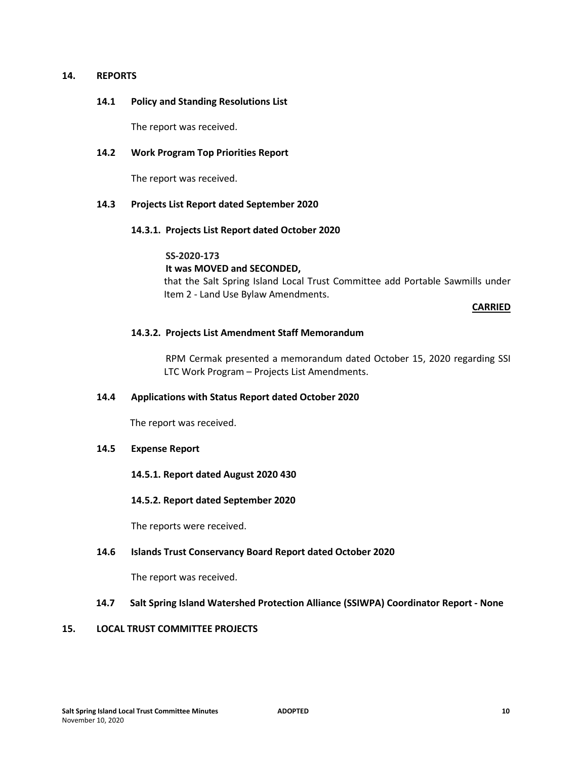#### **14. REPORTS**

#### **14.1 Policy and Standing Resolutions List**

The report was received.

## **14.2 Work Program Top Priorities Report**

The report was received.

## **14.3 Projects List Report dated September 2020**

#### **14.3.1. Projects List Report dated October 2020**

## **SS-2020-173**

## **It was MOVED and SECONDED,**

that the Salt Spring Island Local Trust Committee add Portable Sawmills under Item 2 - Land Use Bylaw Amendments.

#### **CARRIED**

## **14.3.2. Projects List Amendment Staff Memorandum**

RPM Cermak presented a memorandum dated October 15, 2020 regarding SSI LTC Work Program – Projects List Amendments.

#### **14.4 Applications with Status Report dated October 2020**

The report was received.

## **14.5 Expense Report**

**14.5.1. Report dated August 2020 430** 

#### **14.5.2. Report dated September 2020**

The reports were received.

#### **14.6 Islands Trust Conservancy Board Report dated October 2020**

The report was received.

## **14.7 Salt Spring Island Watershed Protection Alliance (SSIWPA) Coordinator Report - None**

## **15. LOCAL TRUST COMMITTEE PROJECTS**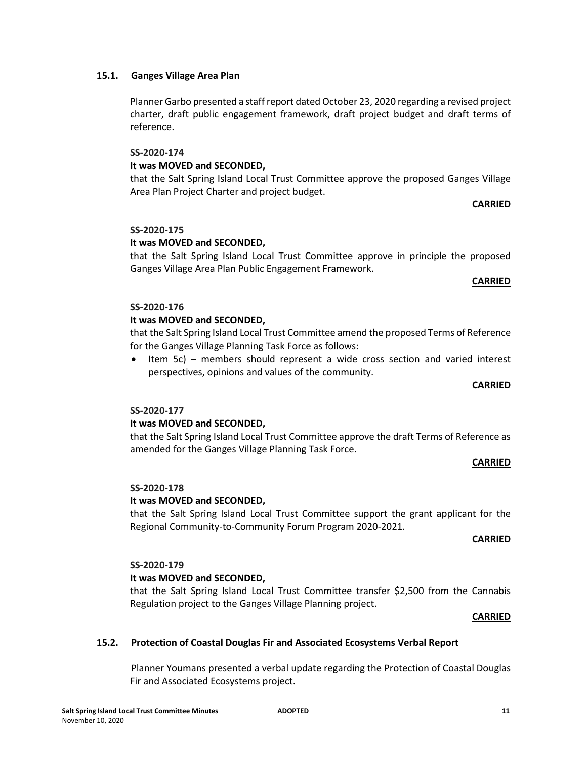## **15.1. Ganges Village Area Plan**

Planner Garbo presented a staff report dated October 23, 2020 regarding a revised project charter, draft public engagement framework, draft project budget and draft terms of reference.

#### **SS-2020-174**

## **It was MOVED and SECONDED,**

that the Salt Spring Island Local Trust Committee approve the proposed Ganges Village Area Plan Project Charter and project budget.

**CARRIED**

## **SS-2020-175**

## **It was MOVED and SECONDED,**

that the Salt Spring Island Local Trust Committee approve in principle the proposed Ganges Village Area Plan Public Engagement Framework.

#### **CARRIED**

# **SS-2020-176**

## **It was MOVED and SECONDED,**

that the Salt Spring Island Local Trust Committee amend the proposed Terms of Reference for the Ganges Village Planning Task Force as follows:

• Item 5c) – members should represent a wide cross section and varied interest perspectives, opinions and values of the community.

#### **CARRIED**

#### **SS-2020-177**

## **It was MOVED and SECONDED,**

that the Salt Spring Island Local Trust Committee approve the draft Terms of Reference as amended for the Ganges Village Planning Task Force.

#### **CARRIED**

#### **SS-2020-178**

#### **It was MOVED and SECONDED,**

that the Salt Spring Island Local Trust Committee support the grant applicant for the Regional Community-to-Community Forum Program 2020-2021.

#### **CARRIED**

# **SS-2020-179**

# **It was MOVED and SECONDED,**

that the Salt Spring Island Local Trust Committee transfer \$2,500 from the Cannabis Regulation project to the Ganges Village Planning project.

#### **CARRIED**

## **15.2. Protection of Coastal Douglas Fir and Associated Ecosystems Verbal Report**

Planner Youmans presented a verbal update regarding the Protection of Coastal Douglas Fir and Associated Ecosystems project.